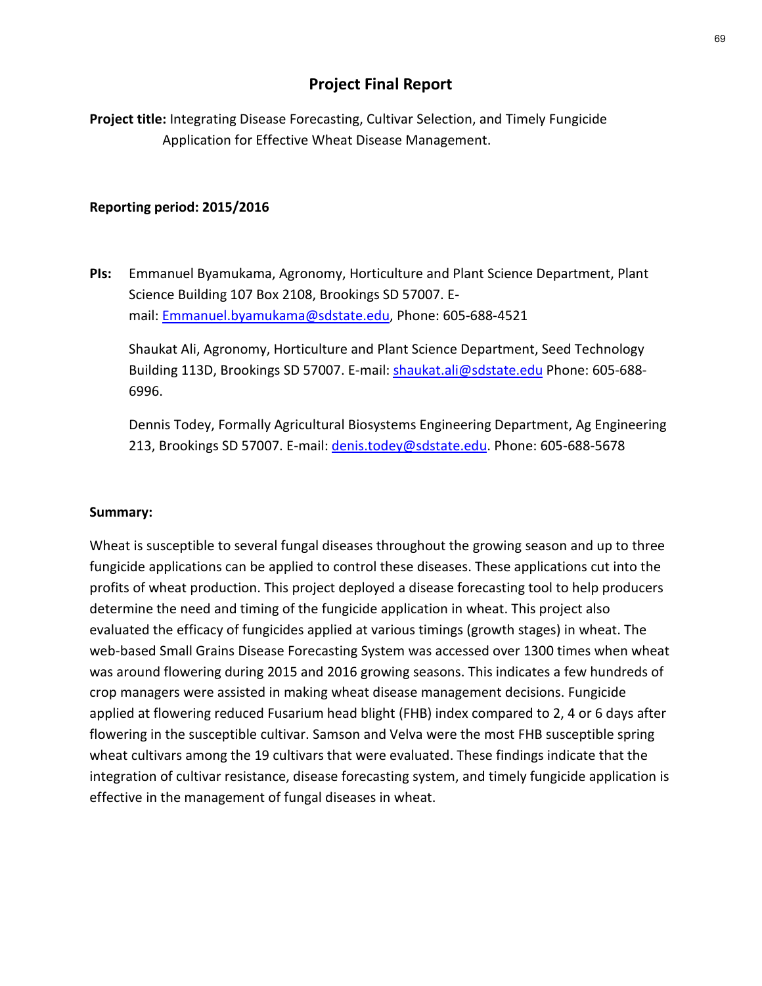# Project Final Report

Project title: Integrating Disease Forecasting, Cultivar Selection, and Timely Fungicide Application for Effective Wheat Disease Management.

#### Reporting period: 2015/2016

PIs: Emmanuel Byamukama, Agronomy, Horticulture and Plant Science Department, Plant Science Building 107 Box 2108, Brookings SD 57007. Email: Emmanuel.byamukama@sdstate.edu, Phone: 605-688-4521

Shaukat Ali, Agronomy, Horticulture and Plant Science Department, Seed Technology Building 113D, Brookings SD 57007. E-mail: shaukat.ali@sdstate.edu Phone: 605-688- 6996.

Dennis Todey, Formally Agricultural Biosystems Engineering Department, Ag Engineering 213, Brookings SD 57007. E-mail: denis.todey@sdstate.edu. Phone: 605-688-5678

#### Summary:

Wheat is susceptible to several fungal diseases throughout the growing season and up to three fungicide applications can be applied to control these diseases. These applications cut into the profits of wheat production. This project deployed a disease forecasting tool to help producers determine the need and timing of the fungicide application in wheat. This project also Frank Content Mannibus Content Content Content Content Content Content Content Content Content Content Content<br>
Balling 113D, Brookings SD 57007. E-mail: <u>shaukat ali@sdstate.edu</u> Phone: 605-688-6996.<br>
Dennis Todey, Formal web-based Small Grains Disease Forecasting System was accessed over 1300 times when wheat was around flowering during 2015 and 2016 growing seasons. This indicates a few hundreds of crop managers were assisted in making wheat disease management decisions. Fungicide Dennis Todey, Formally Agricultural Biosystems Engineering Department, Ag Engineering<br>213, Brookings SD 57007. E-mail: <u>denis todey@sdstate.edu</u>. Phone: 605-688-5678<br>**Summary:**<br>Wheat is susceptible to several fungal diseas flowering in the susceptible cultivar. Samson and Velva were the most FHB susceptible spring wheat cultivars among the 19 cultivars that were evaluated. These findings indicate that the **Summary:**<br>Wheat is susceptible to several fungal diseases throughout the growing season and up to three fungicide applications can be applied to control these diseases. These applications cut into the profits of wheat pro effective in the management of fungal diseases in wheat.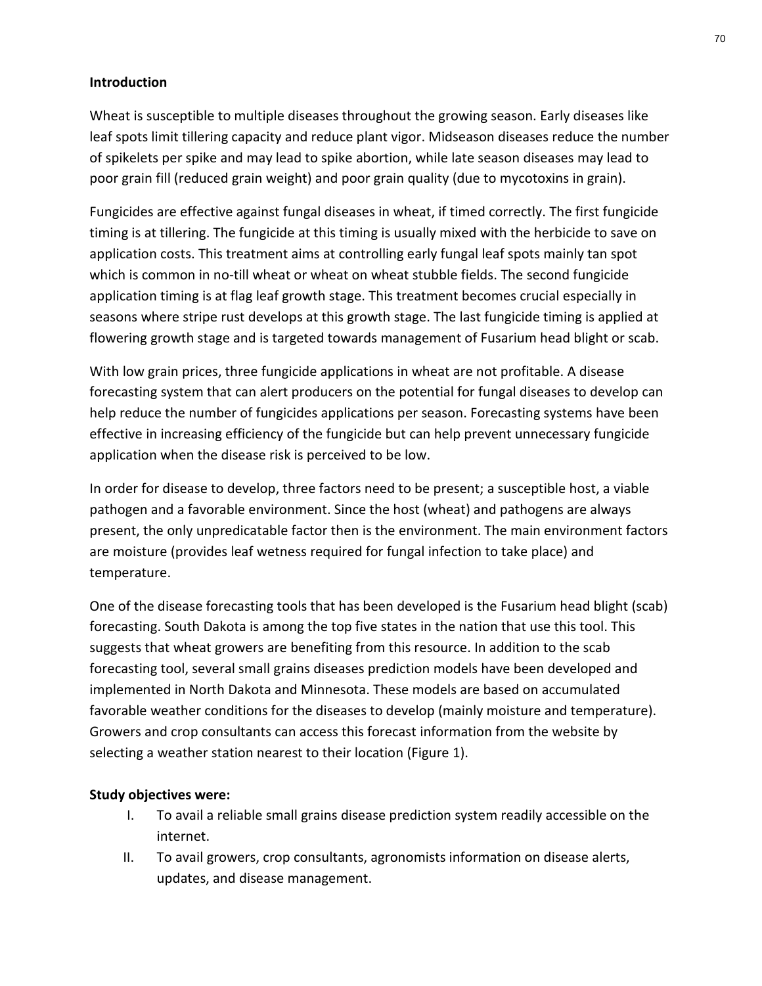### Introduction

Wheat is susceptible to multiple diseases throughout the growing season. Early diseases like leaf spots limit tillering capacity and reduce plant vigor. Midseason diseases reduce the number of spikelets per spike and may lead to spike abortion, while late season diseases may lead to poor grain fill (reduced grain weight) and poor grain quality (due to mycotoxins in grain).

Fungicides are effective against fungal diseases in wheat, if timed correctly. The first fungicide timing is at tillering. The fungicide at this timing is usually mixed with the herbicide to save on application costs. This treatment aims at controlling early fungal leaf spots mainly tan spot which is common in no-till wheat or wheat on wheat stubble fields. The second fungicide application timing is at flag leaf growth stage. This treatment becomes crucial especially in seasons where stripe rust develops at this growth stage. The last fungicide timing is applied at flowering growth stage and is targeted towards management of Fusarium head blight or scab.

With low grain prices, three fungicide applications in wheat are not profitable. A disease forecasting system that can alert producers on the potential for fungal diseases to develop can help reduce the number of fungicides applications per season. Forecasting systems have been effective in increasing efficiency of the fungicide but can help prevent unnecessary fungicide application when the disease risk is perceived to be low.

In order for disease to develop, three factors need to be present; a susceptible host, a viable pathogen and a favorable environment. Since the host (wheat) and pathogens are always present, the only unpredicatable factor then is the environment. The main environment factors are moisture (provides leaf wetness required for fungal infection to take place) and temperature.

One of the disease forecasting tools that has been developed is the Fusarium head blight (scab) forecasting. South Dakota is among the top five states in the nation that use this tool. This suggests that wheat growers are benefiting from this resource. In addition to the scab forecasting tool, several small grains diseases prediction models have been developed and implemented in North Dakota and Minnesota. These models are based on accumulated favorable weather conditions for the diseases to develop (mainly moisture and temperature). Growers and crop consultants can access this forecast information from the website by selecting a weather station nearest to their location (Figure 1). gen and a favorable environment. Since the host (wheat) and pathogens are always<br>
the the only unpredicatable factor then is the environment. The main environment factors<br>
the the since provides leaf wetness required for f oisture (provides leaf wetness required for fungal infection to take place) and<br>erature.<br>for the disease forecasting tools that has been developed is the Fusarium head blight (scab)<br>asting. South Dakota is among the top fi

#### Study objectives were:

- internet.
- updates, and disease management.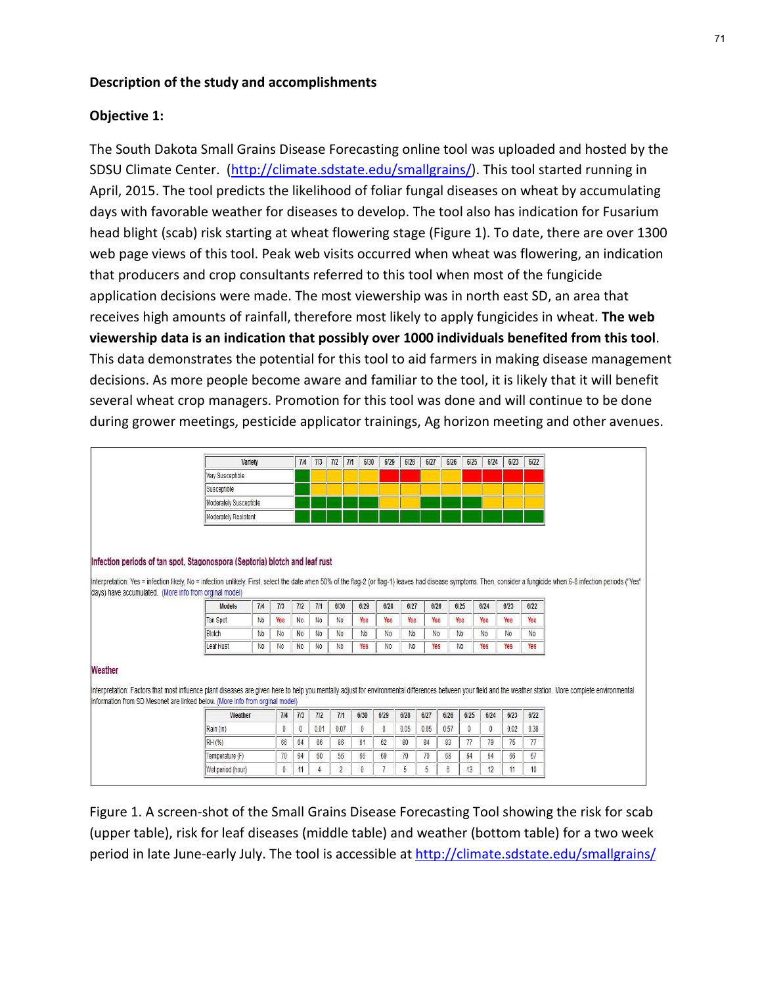#### Description of the study and accomplishments

#### Objective 1:

The South Dakota Small Grains Disease Forecasting online tool was uploaded and hosted by the SDSU Climate Center. (http://climate.sdstate.edu/smallgrains/). This tool started running in April, 2015. The tool predicts the likelihood of foliar fungal diseases on wheat by accumulating days with favorable weather for diseases to develop. The tool also has indication for Fusarium head blight (scab) risk starting at wheat flowering stage (Figure 1). To date, there are over 1300 web page views of this tool. Peak web visits occurred when wheat was flowering, an indication that producers and crop consultants referred to this tool when most of the fungicide **Description of the study and accomplishments**<br> **Objective 1:**<br>
The South Dakota Small Grains Disease Forecasting online tool was uploaded and hosted by the<br>
SDSU Climate Center. (<u>http://climate.sdstate.edu/smallgrains/</u>) receives high amounts of rainfall, therefore most likely to apply fungicides in wheat. The web viewership data is an indication that possibly over 1000 individuals benefited from this tool.<br>This data demonstrates the potential for this tool to aid farmers in making disease management decisions. As more people become aware and familiar to the tool, it is likely that it will benefit several wheat crop managers. Promotion for this tool was done and will continue to be done during grower meetings, pesticide applicator trainings, Ag horizon meeting and other avenues.

|                                                        |                                                                                                                                                                                                                                                                                                     | <b>Variety</b>                   |                             | 714                              | 7/3                  | 7/2                              | 7/1 | 6/30      | 6/29                             | 6/28                             | 6/27      | 6/26 | 6/25                  | 6/24                  | 6/23      | 6/22      |
|--------------------------------------------------------|-----------------------------------------------------------------------------------------------------------------------------------------------------------------------------------------------------------------------------------------------------------------------------------------------------|----------------------------------|-----------------------------|----------------------------------|----------------------|----------------------------------|-----|-----------|----------------------------------|----------------------------------|-----------|------|-----------------------|-----------------------|-----------|-----------|
|                                                        | Very Susceptible                                                                                                                                                                                                                                                                                    |                                  |                             |                                  |                      |                                  |     |           |                                  |                                  |           |      |                       |                       |           |           |
|                                                        | Susceptible                                                                                                                                                                                                                                                                                         |                                  |                             |                                  |                      |                                  |     |           |                                  |                                  |           |      |                       |                       |           |           |
|                                                        | Moderately Susceptible                                                                                                                                                                                                                                                                              |                                  |                             |                                  |                      |                                  |     |           |                                  |                                  |           |      |                       |                       |           |           |
|                                                        | Moderately Resistant                                                                                                                                                                                                                                                                                |                                  |                             |                                  |                      |                                  |     |           |                                  |                                  |           |      |                       |                       |           |           |
| days) have accumulated. (More info from orginal model) | Infection periods of tan spot, Stagonospora (Septoria) blotch and leaf rust<br>Interpretation: Yes = infection likely, No = infection unlikely. First, select the date when 50% of the flag-2 (or flag-1) leaves had disease symptoms. Then, consider a fungicide when 6-8 infection periods ("Yes" |                                  |                             |                                  |                      |                                  |     |           |                                  |                                  |           |      |                       |                       |           |           |
|                                                        | <b>Models</b>                                                                                                                                                                                                                                                                                       | 7/4                              | 7/3                         | 7/2                              | 7/1                  | 6/30                             |     | 6/29      | 6/28                             | 6/27                             | 6/26      |      | 6/25                  | 6/24                  | 6/23      | 6/22      |
|                                                        |                                                                                                                                                                                                                                                                                                     | N <sub>0</sub>                   | Yes                         | No.                              | <b>No</b>            | N <sub>0</sub>                   |     | Yes       | Yes                              | Yes                              | Yes       |      | Yes                   | Yes                   | Yes       | Yes       |
|                                                        |                                                                                                                                                                                                                                                                                                     |                                  |                             |                                  |                      |                                  |     |           |                                  |                                  |           |      |                       |                       |           |           |
|                                                        | <b>Tan Spot</b>                                                                                                                                                                                                                                                                                     |                                  |                             |                                  |                      |                                  |     |           |                                  |                                  |           |      |                       |                       |           |           |
|                                                        | Blotch<br>Leaf Rust                                                                                                                                                                                                                                                                                 | N <sub>0</sub><br>N <sub>0</sub> | N <sub>0</sub><br><b>No</b> | N <sub>0</sub><br>N <sub>0</sub> | No<br>N <sub>0</sub> | N <sub>0</sub><br>N <sub>0</sub> |     | No<br>Yes | N <sub>0</sub><br>N <sub>0</sub> | N <sub>0</sub><br>N <sub>0</sub> | No<br>Yes |      | No.<br>N <sub>0</sub> | N <sub>0</sub><br>Yes | No<br>Yes | No<br>Yes |
| Weather                                                | Interpretation: Factors that most influence plant diseases are given here to help you mentally adjust for environmental differences between your field and the weather station. More complete environmental<br>information from SD Mesonet are linked below. (More info from orginal model)         |                                  |                             |                                  |                      |                                  |     |           |                                  |                                  |           |      |                       |                       |           |           |
|                                                        | Weather                                                                                                                                                                                                                                                                                             |                                  | 7/4                         | 7/3                              | 7/2                  | 7/1                              |     | 6/30      | 6/29                             | 6/28                             | 6/27      | 6/26 | 6/25                  | 6/24                  | 6/23      | 6/22      |
|                                                        | Rain (in)                                                                                                                                                                                                                                                                                           |                                  | 0                           | $\theta$                         | 0.01                 | 0.07                             |     | $0\,$     | $\theta$                         | 0.05                             | 0.05      | 0.57 | 0                     | $\theta$              | 0.02      | 0.38      |
|                                                        | RH (%)                                                                                                                                                                                                                                                                                              |                                  | 66                          | 64                               | 66                   | 86                               |     | 61        | 62                               | 80                               | 84        | 83   | 77                    | 79                    | 75        | 77        |
|                                                        | Temperature (F)                                                                                                                                                                                                                                                                                     |                                  | 70                          | 64                               | 60                   | 56                               |     | 66        | 69                               | 70                               | 70        | 68   | 64                    | 64                    | 66        | 67        |

Figure 1. A screen-shot of the Small Grains Disease Forecasting Tool showing the risk for scab (upper table), risk for leaf diseases (middle table) and weather (bottom table) for a two week period in late June-early July. The tool is accessible at http://climate.sdstate.edu/smallgrains/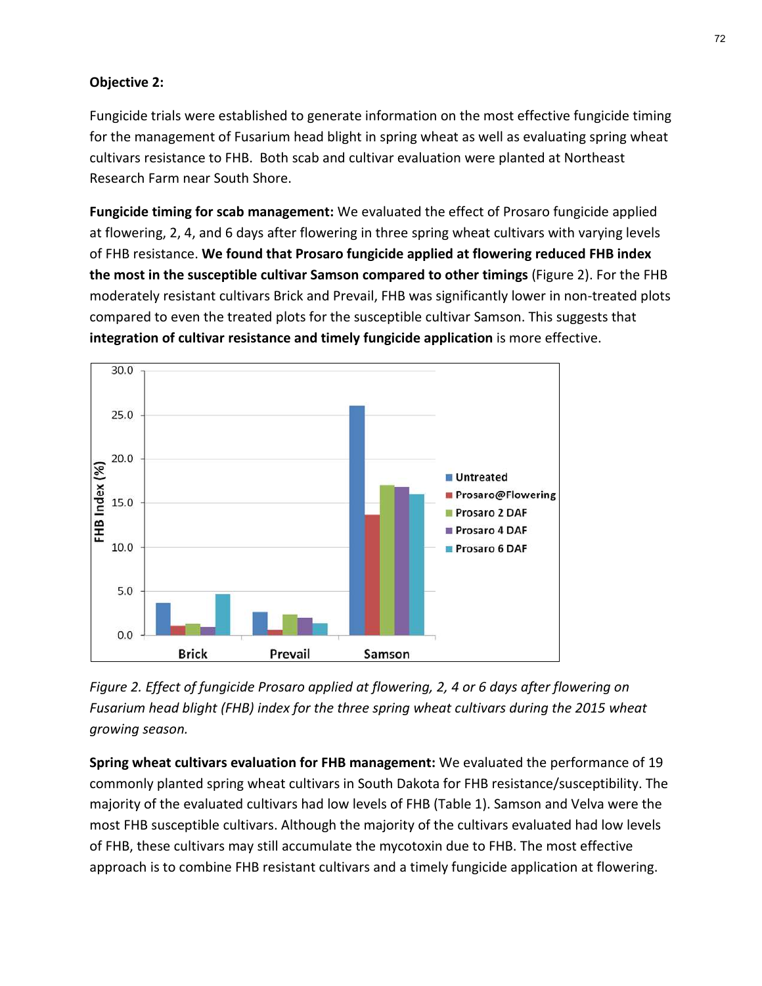## Objective 2:

Fungicide trials were established to generate information on the most effective fungicide timing for the management of Fusarium head blight in spring wheat as well as evaluating spring wheat cultivars resistance to FHB. Both scab and cultivar evaluation were planted at Northeast Research Farm near South Shore.

Fungicide timing for scab management: We evaluated the effect of Prosaro fungicide applied 72<br> **Pungicide trials were established to generate information on the most effective fungicide timing**<br>
for the management of Fusarium head blight in spring wheat as well as evaluating spring wheat<br>
cultivars resistance to of FHB resistance. We found that Prosaro fungicide applied at flowering reduced FHB index the most in the susceptible cultivar Samson compared to other timings (Figure 2). For the FHB moderately resistant cultivars Brick and Prevail, FHB was significantly lower in non-treated plots compared to even the treated plots for the susceptible cultivar Samson. This suggests that integration of cultivar resistance and timely fungicide application is more effective.



Figure 2. Effect of fungicide Prosaro applied at flowering, 2, 4 or 6 days after flowering on Fusarium head blight (FHB) index for the three spring wheat cultivars during the 2015 wheat growing season.

Spring wheat cultivars evaluation for FHB management: We evaluated the performance of 19 commonly planted spring wheat cultivars in South Dakota for FHB resistance/susceptibility. The majority of the evaluated cultivars had low levels of FHB (Table 1). Samson and Velva were the most FHB susceptible cultivars. Although the majority of the cultivars evaluated had low levels of FHB, these cultivars may still accumulate the mycotoxin due to FHB. The most effective approach is to combine FHB resistant cultivars and a timely fungicide application at flowering.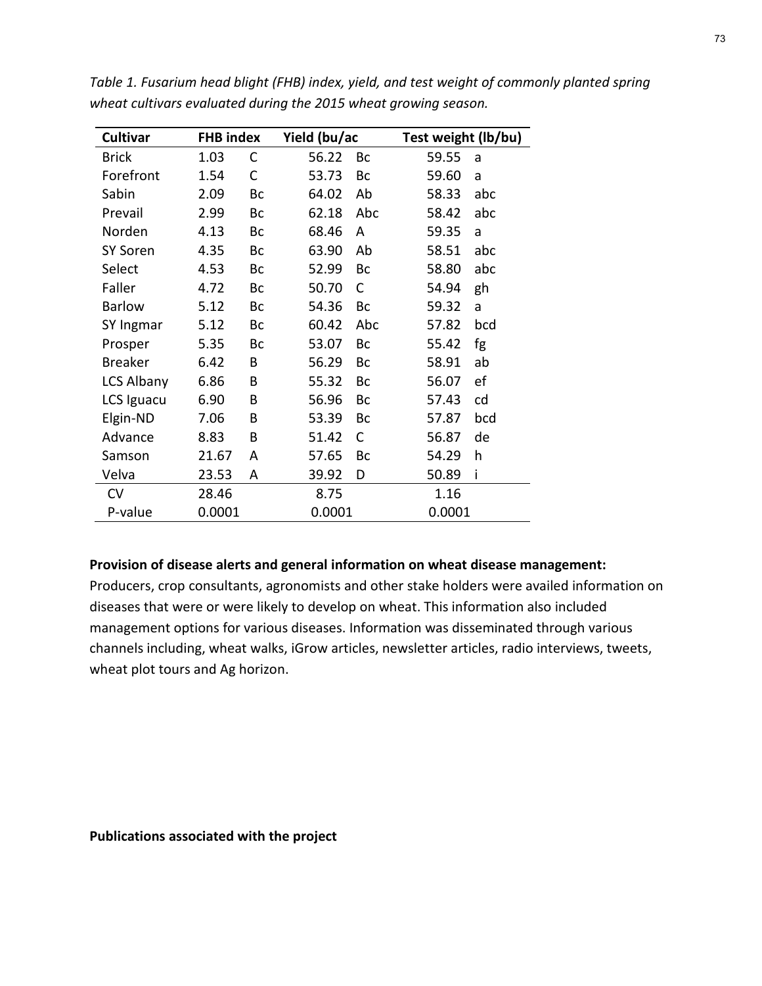|                                                                 |                          |              |                          |     |                                | Fable 1. Fusarium head blight (FHB) index, yield, and test weight of commonly planted spring |  |
|-----------------------------------------------------------------|--------------------------|--------------|--------------------------|-----|--------------------------------|----------------------------------------------------------------------------------------------|--|
| wheat cultivars evaluated during the 2015 wheat growing season. |                          |              |                          |     |                                |                                                                                              |  |
| Cultivar<br><b>Brick</b>                                        | <b>FHB</b> index<br>1.03 | $\mathsf{C}$ | Yield (bu/ac<br>56.22 Bc |     | Test weight (lb/bu)<br>59.55 a |                                                                                              |  |
| Forefront                                                       | 1.54                     | $\mathsf{C}$ | 53.73                    | Bc  | 59.60                          | a a                                                                                          |  |
| Sabin                                                           | 2.09                     | Bc           | 64.02                    | Ab  | 58.33 abc                      |                                                                                              |  |
| Prevail                                                         | 2.99                     | Bc           | 62.18                    | Abc | 58.42 abc                      |                                                                                              |  |
| Norden                                                          | 4.13                     | Bc           | 68.46                    | A   | 59.35 a                        |                                                                                              |  |
| SY Soren                                                        | 4.35                     | Bc           | 63.90                    | Ab  | 58.51 abc                      |                                                                                              |  |
| Select                                                          | 4.53                     | Bc           | 52.99                    | Bc  | 58.80                          | abc                                                                                          |  |
| Faller                                                          | 4.72                     | Bc           | 50.70 C                  |     | 54.94 gh                       |                                                                                              |  |
| <b>Barlow</b>                                                   | 5.12                     | Bc           | 54.36                    | Bc  | 59.32 a                        |                                                                                              |  |
| SY Ingmar                                                       | 5.12                     | Bc           | 60.42                    | Abc | 57.82                          | bcd                                                                                          |  |
| Prosper                                                         | 5.35                     | Bc           | 53.07                    | Bc  | 55.42                          | fg                                                                                           |  |
| <b>Breaker</b>                                                  | 6.42                     | В            | 56.29                    | Bc  | 58.91 ab                       |                                                                                              |  |
| LCS Albany                                                      | 6.86                     | B            | 55.32                    | Bc  | 56.07 ef                       |                                                                                              |  |
| LCS Iguacu                                                      | 6.90                     | B            | 56.96 Bc                 |     | 57.43 cd                       |                                                                                              |  |
| Elgin-ND                                                        | 7.06                     | B            | 53.39 Bc                 |     | 57.87                          | bcd                                                                                          |  |
| Advance                                                         | 8.83                     | B            | 51.42 C                  |     | 56.87 de                       |                                                                                              |  |
| Samson                                                          | 21.67                    | A            | 57.65 Bc                 |     | 54.29 h                        |                                                                                              |  |
| Velva                                                           | 23.53                    | A            | 39.92 D                  |     | 50.89                          | - 1                                                                                          |  |
| CV                                                              | 28.46                    |              | 8.75                     |     | 1.16                           |                                                                                              |  |
| P-value                                                         | 0.0001                   |              | 0.0001                   |     | 0.0001                         |                                                                                              |  |

Table 1. Fusarium head blight (FHB) index, yield, and test weight of commonly planted spring wheat cultivars evaluated during the 2015 wheat growing season.

#### Provision of disease alerts and general information on wheat disease management:

Producers, crop consultants, agronomists and other stake holders were availed information on diseases that were or were likely to develop on wheat. This information also included management options for various diseases. Information was disseminated through various channels including, wheat walks, iGrow articles, newsletter articles, radio interviews, tweets, wheat plot tours and Ag horizon.

Publications associated with the project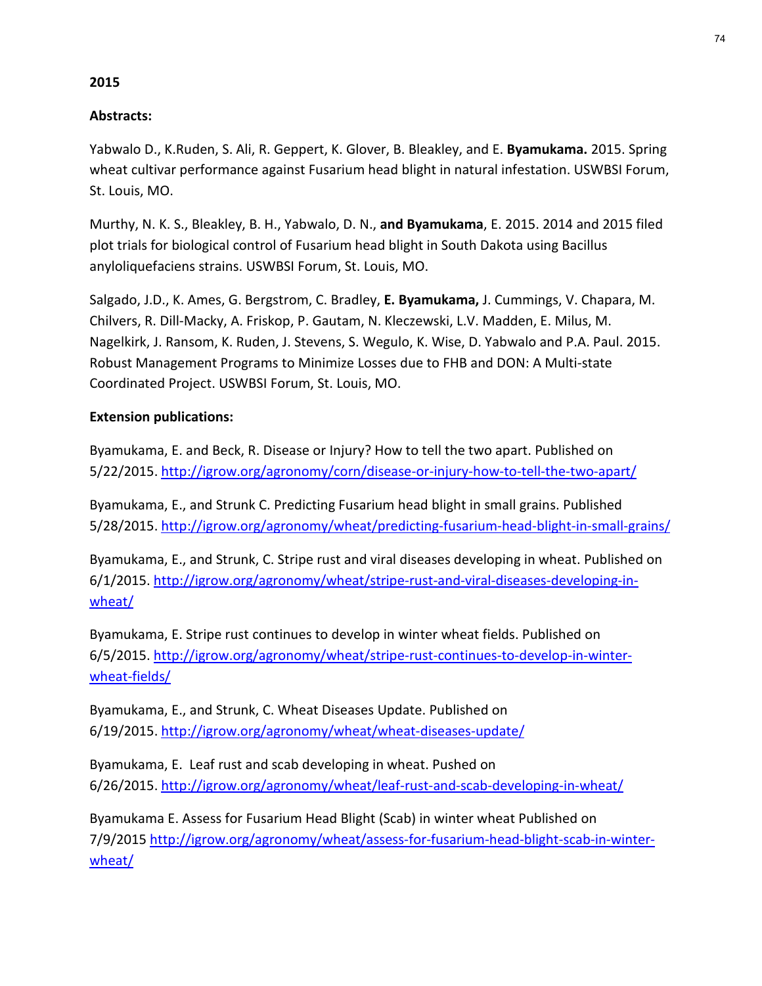# 2015

# Abstracts:

2015<br>Abstracts:<br>Yabwalo D., K.Ruden, S. Ali, R. Geppert, K. Glover, B. Bleakley, and E. **Byamukama.** 2015. Spring<br>wheat cultivar performance against Fusarium head blight in natural infestation. USWBSI Forum,<br>St. Louis, MO. wheat cultivar performance against Fusarium head blight in natural infestation. USWBSI Forum, St. Louis, MO.

Murthy, N. K. S., Bleakley, B. H., Yabwalo, D. N., and Byamukama, E. 2015. 2014 and 2015 filed plot trials for biological control of Fusarium head blight in South Dakota using Bacillus anyloliquefaciens strains. USWBSI Forum, St. Louis, MO.

Salgado, J.D., K. Ames, G. Bergstrom, C. Bradley, E. Byamukama, J. Cummings, V. Chapara, M. Chilvers, R. Dill-Macky, A. Friskop, P. Gautam, N. Kleczewski, L.V. Madden, E. Milus, M. Nagelkirk, J. Ransom, K. Ruden, J. Stevens, S. Wegulo, K. Wise, D. Yabwalo and P.A. Paul. 2015. Robust Management Programs to Minimize Losses due to FHB and DON: A Multi-state Coordinated Project. USWBSI Forum, St. Louis, MO.

# Extension publications:

Byamukama, E. and Beck, R. Disease or Injury? How to tell the two apart. Published on 5/22/2015. http://igrow.org/agronomy/corn/disease-or-injury-how-to-tell-the-two-apart/

Byamukama, E., and Strunk C. Predicting Fusarium head blight in small grains. Published

5/28/2015. http://igrow.org/agronomy/wheat/predicting-fusarium-head-blight-in-small-grains/<br>Byamukama, E., and Strunk, C. Stripe rust and viral diseases developing in wheat. Published on 6/1/2015. http://igrow.org/agronomy/wheat/stripe-rust-and-viral-diseases-developing-in-

wheat/<br>Byamukama, E. Stripe rust continues to develop in winter wheat fields. Published on 6/5/2015. http://igrow.org/agronomy/wheat/stripe-rust-continues-to-develop-in-winter-

wheat-fields/<br>Byamukama, E., and Strunk, C. Wheat Diseases Update. Published on

6/19/2015. http://igrow.org/agronomy/wheat/wheat-diseases-update/<br>Byamukama, E. Leaf rust and scab developing in wheat. Pushed on 6/26/2015. http://igrow.org/agronomy/wheat/leaf-rust-and-scab-developing-in-wheat/

Byamukama E. Assess for Fusarium Head Blight (Scab) in winter wheat Published on 7/9/2015 http://igrow.org/agronomy/wheat/assess-for-fusarium-head-blight-scab-in-winterwheat/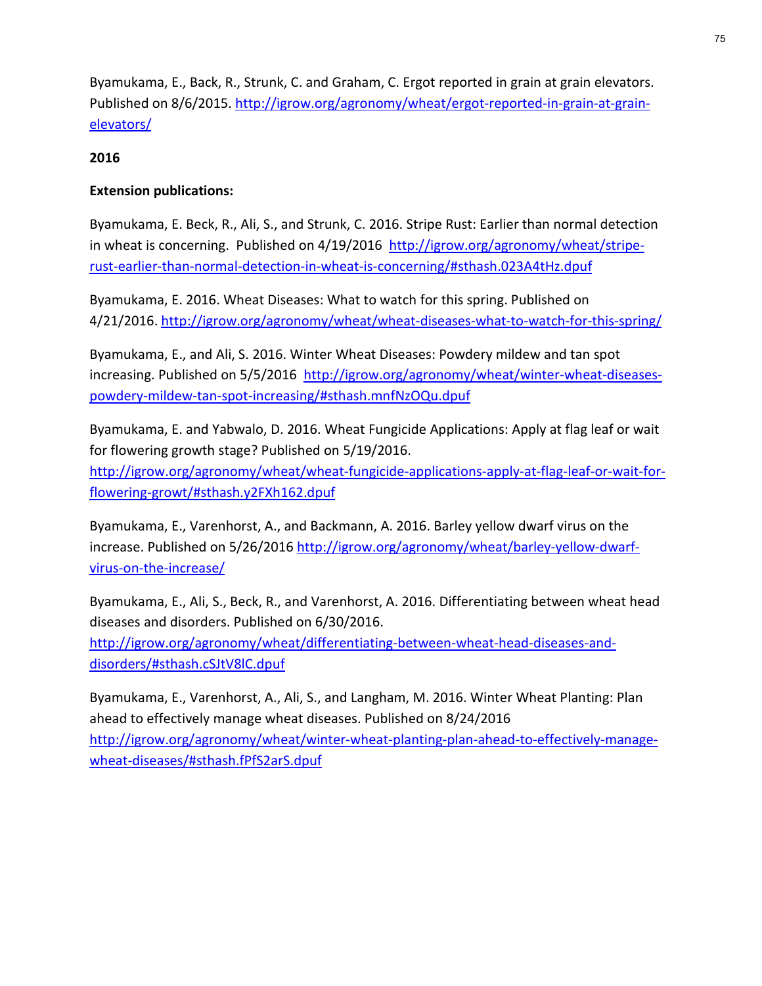Byamukama, E., Back, R., Strunk, C. and Graham, C. Ergot reported in grain at grain elevators. Published on 8/6/2015. http://igrow.org/agronomy/wheat/ergot-reported-in-grain-at-grainelevators/

### 2016

### Extension publications:

Byamukama, E. Beck, R., Ali, S., and Strunk, C. 2016. Stripe Rust: Earlier than normal detection in wheat is concerning. Published on 4/19/2016 http://igrow.org/agronomy/wheat/striperust-earlier-than-normal-detection-in-wheat-is-concerning/#sthash.023A4tHz.dpuf

Byamukama, E. 2016. Wheat Diseases: What to watch for this spring. Published on 4/21/2016. http://igrow.org/agronomy/wheat/wheat-diseases-what-to-watch-for-this-spring/

Byamukama, E., and Ali, S. 2016. Winter Wheat Diseases: Powdery mildew and tan spot increasing. Published on 5/5/2016 http://igrow.org/agronomy/wheat/winter-wheat-diseasespowdery-mildew-tan-spot-increasing/#sthash.mnfNzOQu.dpuf

Byamukama, E. and Yabwalo, D. 2016. Wheat Fungicide Applications: Apply at flag leaf or wait for flowering growth stage? Published on 5/19/2016. http://igrow.org/agronomy/wheat/wheat-fungicide-applications-apply-at-flag-leaf-or-wait-for-

flowering-growt/#sthash.y2FXh162.dpuf<br>Byamukama, E., Varenhorst, A., and Backmann, A. 2016. Barley yellow dwarf virus on the increase. Published on 5/26/2016 http://igrow.org/agronomy/wheat/barley-yellow-dwarfvirus-on-the-increase/

Byamukama, E., Ali, S., Beck, R., and Varenhorst, A. 2016. Differentiating between wheat head diseases and disorders. Published on 6/30/2016. http://igrow.org/agronomy/wheat/differentiating-between-wheat-head-diseases-and-

disorders/#sthash.cSJtV8lC.dpuf

Byamukama, E., Varenhorst, A., Ali, S., and Langham, M. 2016. Winter Wheat Planting: Plan ahead to effectively manage wheat diseases. Published on 8/24/2016 http://igrow.org/agronomy/wheat/winter-wheat-planting-plan-ahead-to-effectively-managewheat-diseases/#sthash.fPfS2arS.dpuf